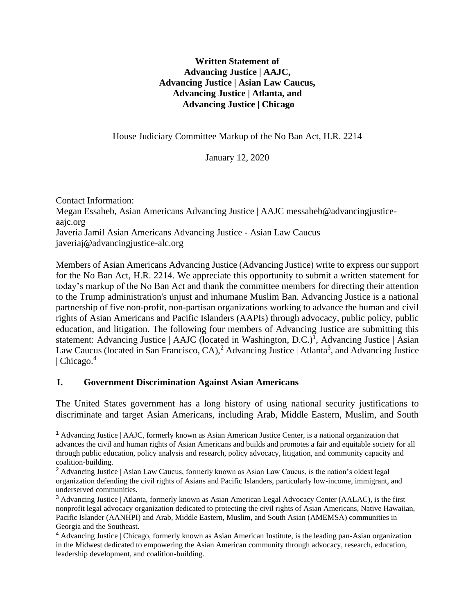### **Written Statement of Advancing Justice | AAJC, Advancing Justice | Asian Law Caucus, Advancing Justice | Atlanta, and Advancing Justice | Chicago**

House Judiciary Committee Markup of the No Ban Act, H.R. 2214

January 12, 2020

Contact Information: Megan Essaheb, Asian Americans Advancing Justice | AAJC messaheb@advancingjusticeaajc.org Javeria Jamil Asian Americans Advancing Justice - Asian Law Caucus javeriaj@advancingjustice-alc.org

Members of Asian Americans Advancing Justice (Advancing Justice) write to express our support for the No Ban Act, H.R. 2214. We appreciate this opportunity to submit a written statement for today's markup of the No Ban Act and thank the committee members for directing their attention to the Trump administration's unjust and inhumane Muslim Ban. Advancing Justice is a national partnership of five non-profit, non-partisan organizations working to advance the human and civil rights of Asian Americans and Pacific Islanders (AAPIs) through advocacy, public policy, public education, and litigation. The following four members of Advancing Justice are submitting this statement: Advancing Justice | AAJC (located in Washington, D.C.)<sup>1</sup>, Advancing Justice | Asian Law Caucus (located in San Francisco, CA),<sup>2</sup> Advancing Justice | Atlanta<sup>3</sup>, and Advancing Justice | Chicago. $4$ 

### **I. Government Discrimination Against Asian Americans**

The United States government has a long history of using national security justifications to discriminate and target Asian Americans, including Arab, Middle Eastern, Muslim, and South

<sup>1</sup> Advancing Justice | AAJC, formerly known as Asian American Justice Center, is a national organization that advances the civil and human rights of Asian Americans and builds and promotes a fair and equitable society for all through public education, policy analysis and research, policy advocacy, litigation, and community capacity and coalition-building.

<sup>&</sup>lt;sup>2</sup> Advancing Justice | Asian Law Caucus, formerly known as Asian Law Caucus, is the nation's oldest legal organization defending the civil rights of Asians and Pacific Islanders, particularly low-income, immigrant, and underserved communities.

<sup>&</sup>lt;sup>3</sup> Advancing Justice | Atlanta, formerly known as Asian American Legal Advocacy Center (AALAC), is the first nonprofit legal advocacy organization dedicated to protecting the civil rights of Asian Americans, Native Hawaiian, Pacific Islander (AANHPI) and Arab, Middle Eastern, Muslim, and South Asian (AMEMSA) communities in Georgia and the Southeast.

<sup>&</sup>lt;sup>4</sup> Advancing Justice | Chicago, formerly known as Asian American Institute, is the leading pan-Asian organization in the Midwest dedicated to empowering the Asian American community through advocacy, research, education, leadership development, and coalition-building.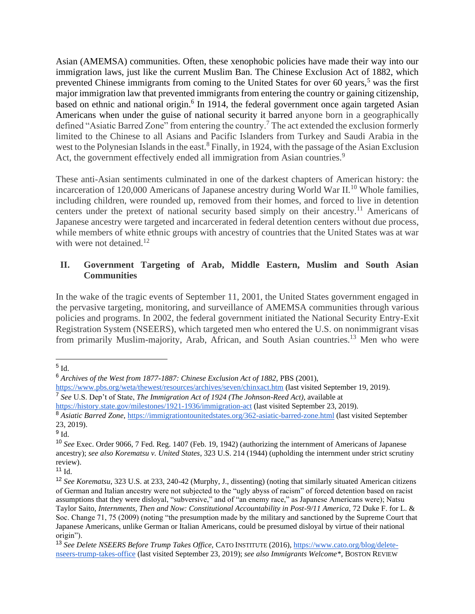Asian (AMEMSA) communities. Often, these xenophobic policies have made their way into our immigration laws, just like the current Muslim Ban. The Chinese Exclusion Act of 1882, which prevented Chinese immigrants from coming to the United States for over 60 years,<sup>5</sup> was the first major immigration law that prevented immigrants from entering the country or gaining citizenship, based on ethnic and national origin.<sup>6</sup> In 1914, the federal government once again targeted Asian Americans when under the guise of national security it barred anyone born in a geographically defined "Asiatic Barred Zone" from entering the country.<sup>7</sup> The act extended the exclusion formerly limited to the Chinese to all Asians and Pacific Islanders from Turkey and Saudi Arabia in the west to the Polynesian Islands in the east.<sup>8</sup> Finally, in 1924, with the passage of the Asian Exclusion Act, the government effectively ended all immigration from Asian countries.<sup>9</sup>

These anti-Asian sentiments culminated in one of the darkest chapters of American history: the incarceration of 120,000 Americans of Japanese ancestry during World War II.<sup>10</sup> Whole families, including children, were rounded up, removed from their homes, and forced to live in detention centers under the pretext of national security based simply on their ancestry.<sup>11</sup> Americans of Japanese ancestry were targeted and incarcerated in federal detention centers without due process, while members of white ethnic groups with ancestry of countries that the United States was at war with were not detained. $12$ 

### **II. Government Targeting of Arab, Middle Eastern, Muslim and South Asian Communities**

In the wake of the tragic events of September 11, 2001, the United States government engaged in the pervasive targeting, monitoring, and surveillance of AMEMSA communities through various policies and programs. In 2002, the federal government initiated the National Security Entry-Exit Registration System (NSEERS), which targeted men who entered the U.S. on nonimmigrant visas from primarily Muslim-majority, Arab, African, and South Asian countries.<sup>13</sup> Men who were

 $^5$  Id.

<sup>&</sup>lt;sup>6</sup> Archives of the West from 1877-1887: Chinese Exclusion Act of 1882, PBS (2001[\),](https://www.pbs.org/weta/thewest/resources/archives/seven/chinxact.htm)

<https://www.pbs.org/weta/thewest/resources/archives/seven/chinxact.htm> (last visited September 19, 2019). 7 *See* U.S. Dep't of State, *The Immigration Act of 1924 (The Johnson-Reed Act)*, available at

<https://history.state.gov/milestones/1921-1936/immigration-act> (last visited September 23, 2019).

<sup>8</sup> *Asiatic Barred Zone,* <https://immigrationtounitedstates.org/362-asiatic-barred-zone.html> (last visited September 23, 2019).

 $^9$  Id.

<sup>10</sup> *See* Exec. Order 9066, 7 Fed. Reg. 1407 (Feb. 19, 1942) (authorizing the internment of Americans of Japanese ancestry); *see also Korematsu v. United States*, 323 U.S. 214 (1944) (upholding the internment under strict scrutiny review).

 $11$  Id.

<sup>12</sup> *See Korematsu*, 323 U.S. at 233, 240-42 (Murphy, J., dissenting) (noting that similarly situated American citizens of German and Italian ancestry were not subjected to the "ugly abyss of racism" of forced detention based on racist assumptions that they were disloyal, "subversive," and of "an enemy race," as Japanese Americans were); Natsu Taylor Saito, *Internments, Then and Now: Constitutional Accountability in Post-9/11 America*, 72 Duke F. for L. & Soc. Change 71, 75 (2009) (noting "the presumption made by the military and sanctioned by the Supreme Court that Japanese Americans, unlike German or Italian Americans, could be presumed disloyal by virtue of their national origin").

<sup>13</sup> *See Delete NSEERS Before Trump Takes Office,* CATO INSTITUTE (2016), [https://www.cato.org/blog/delete](https://www.cato.org/blog/delete-nseers-trump-takes-office)[nseers-trump-takes-office](https://www.cato.org/blog/delete-nseers-trump-takes-office) (last visited September 23, 2019); *see also Immigrants Welcome\*,* BOSTON REVIEW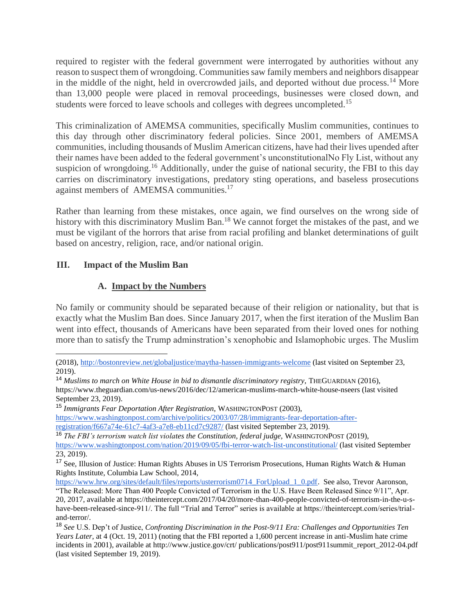required to register with the federal government were interrogated by authorities without any reason to suspect them of wrongdoing. Communities saw family members and neighbors disappear in the middle of the night, held in overcrowded jails, and deported without due process.<sup>14</sup> More than 13,000 people were placed in removal proceedings, businesses were closed down, and students were forced to leave schools and colleges with degrees uncompleted.<sup>15</sup>

This criminalization of AMEMSA communities, specifically Muslim communities, continues to this day through other discriminatory federal policies. Since 2001, members of AMEMSA communities, including thousands of Muslim American citizens, have had their lives upended after their names have been added to the federal government's unconstitutionalNo Fly List, without any suspicion of wrongdoing.<sup>16</sup> Additionally, under the guise of national security, the FBI to this day carries on discriminatory investigations, predatory sting operations, and baseless prosecutions against members of AMEMSA communities.<sup>17</sup>

Rather than learning from these mistakes, once again, we find ourselves on the wrong side of history with this discriminatory Muslim Ban.<sup>18</sup> We cannot forget the mistakes of the past, and we must be vigilant of the horrors that arise from racial profiling and blanket determinations of guilt based on ancestry, religion, race, and/or national origin.

### **III. Impact of the Muslim Ban**

### **A. Impact by the Numbers**

No family or community should be separated because of their religion or nationality, but that is exactly what the Muslim Ban does. Since January 2017, when the first iteration of the Muslim Ban went into effect, thousands of Americans have been separated from their loved ones for nothing more than to satisfy the Trump adminstration's xenophobic and Islamophobic urges. The Muslim

<sup>14</sup> Muslims to march on White House in bid to dismantle discriminatory registry, THEGUARDIAN (2016),

[https://www.washingtonpost.com/archive/politics/2003/07/28/immigrants-fear-deportation-after-](https://www.washingtonpost.com/archive/politics/2003/07/28/immigrants-fear-deportation-after-registration/f667a74e-61c7-4af3-a7e8-eb11cd7c9287/)

<sup>(2018)</sup>[, http://bostonreview.net/globaljustice/maytha-hassen-immigrants-welcome](http://bostonreview.net/globaljustice/maytha-hassen-immigrants-welcome) (last visited on September 23, 2019)[.](https://www.pbs.org/weta/thewest/resources/archives/seven/chinxact.htm)

https://www.theguardian.com/us-news/2016/dec/12/american-muslims-march-white-house-nseers (last visited September 23, 2019).

<sup>15</sup> *Immigrants Fear Deportation After Registration,* WASHINGTONPOST (2003),

[registration/f667a74e-61c7-4af3-a7e8-eb11cd7c9287/](https://www.washingtonpost.com/archive/politics/2003/07/28/immigrants-fear-deportation-after-registration/f667a74e-61c7-4af3-a7e8-eb11cd7c9287/) (last visited September 23, 2019).

<sup>16</sup> *The FBI's terrorism watch list violates the Constitution, federal judge,* WASHINGTONPOST (2019),

<https://www.washingtonpost.com/nation/2019/09/05/fbi-terror-watch-list-unconstitutional/> (last visited September 23, 2019).

<sup>17</sup> See, Illusion of Justice: Human Rights Abuses in US Terrorism Prosecutions, Human Rights Watch & Human Rights Institute, Columbia Law School, 2014,

[https://www.hrw.org/sites/default/files/reports/usterrorism0714\\_ForUpload\\_1\\_0.pdf.](https://www.hrw.org/sites/default/files/reports/usterrorism0714_ForUpload_1_0.pdf) See also, Trevor Aaronson, "The Released: More Than 400 People Convicted of Terrorism in the U.S. Have Been Released Since 9/11", Apr.

<sup>20, 2017,</sup> available at https://theintercept.com/2017/04/20/more-than-400-people-convicted-of-terrorism-in-the-u-shave-been-released-since-911/. The full "Trial and Terror" series is available at https://theintercept.com/series/trialand-terror/.

<sup>18</sup> *See* U.S. Dep't of Justice, *Confronting Discrimination in the Post-9/11 Era: Challenges and Opportunities Ten Years Later*, at 4 (Oct. 19, 2011) (noting that the FBI reported a 1,600 percent increase in anti-Muslim hate crime incidents in 2001), available at http://www.justice.gov/crt/ publications/post911/post911summit\_report\_2012-04.pdf (last visited September 19, 2019).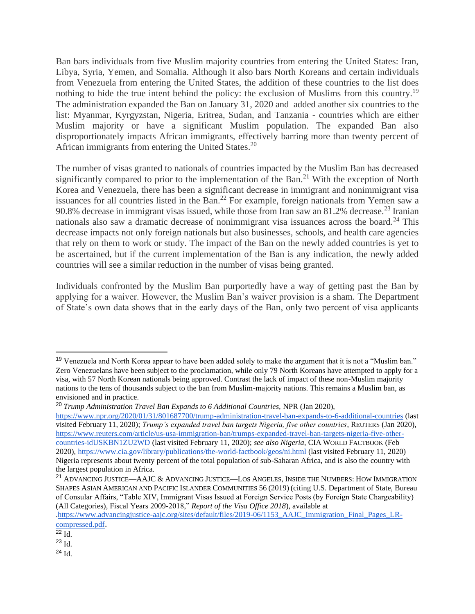Ban bars individuals from five Muslim majority countries from entering the United States: Iran, Libya, Syria, Yemen, and Somalia. Although it also bars North Koreans and certain individuals from Venezuela from entering the United States, the addition of these countries to the list does nothing to hide the true intent behind the policy: the exclusion of Muslims from this country.<sup>19</sup> The administration expanded the Ban on January 31, 2020 and added another six countries to the list: Myanmar, Kyrgyzstan, Nigeria, Eritrea, Sudan, and Tanzania - countries which are either Muslim majority or have a significant Muslim population. The expanded Ban also disproportionately impacts African immigrants, effectively barring more than twenty percent of African immigrants from entering the United States.<sup>20</sup>

The number of visas granted to nationals of countries impacted by the Muslim Ban has decreased significantly compared to prior to the implementation of the Ban.<sup>21</sup> With the exception of North Korea and Venezuela, there has been a significant decrease in immigrant and nonimmigrant visa issuances for all countries listed in the Ban.<sup>22</sup> For example, foreign nationals from Yemen saw a 90.8% decrease in immigrant visas issued, while those from Iran saw an 81.2% decrease.<sup>23</sup> Iranian nationals also saw a dramatic decrease of nonimmigrant visa issuances across the board.<sup>24</sup> This decrease impacts not only foreign nationals but also businesses, schools, and health care agencies that rely on them to work or study. The impact of the Ban on the newly added countries is yet to be ascertained, but if the current implementation of the Ban is any indication, the newly added countries will see a similar reduction in the number of visas being granted.

Individuals confronted by the Muslim Ban purportedly have a way of getting past the Ban by applying for a waiver. However, the Muslim Ban's waiver provision is a sham. The Department of State's own data shows that in the early days of the Ban, only two percent of visa applicants

<sup>&</sup>lt;sup>19</sup> Venezuela and North Korea appear to have been added solely to make the argument that it is not a "Muslim ban." Zero Venezuelans have been subject to the proclamation, while only 79 North Koreans have attempted to apply for a visa, with 57 North Korean nationals being approved. Contrast the lack of impact of these non-Muslim majority nations to the tens of thousands subject to the ban from Muslim-majority nations. This remains a Muslim ban, as envisioned and in practice.

<sup>20</sup> *Trump Administration Travel Ban Expands to 6 Additional Countries,* NPR (Jan 2020),

<https://www.npr.org/2020/01/31/801687700/trump-administration-travel-ban-expands-to-6-additional-countries> (last visited February 11, 2020); *Trump's expanded travel ban targets Nigeria, five other countries*, REUTERS (Jan 2020), [https://www.reuters.com/article/us-usa-immigration-ban/trumps-expanded-travel-ban-targets-nigeria-five-other](https://www.reuters.com/article/us-usa-immigration-ban/trumps-expanded-travel-ban-targets-nigeria-five-other-countries-idUSKBN1ZU2WD)[countries-idUSKBN1ZU2WD](https://www.reuters.com/article/us-usa-immigration-ban/trumps-expanded-travel-ban-targets-nigeria-five-other-countries-idUSKBN1ZU2WD) (last visited February 11, 2020); *see also Nigeria,* CIA WORLD FACTBOOK (Feb 2020)*,* <https://www.cia.gov/library/publications/the-world-factbook/geos/ni.html> (last visited February 11, 2020) Nigeria represents about twenty percent of the total population of sub-Saharan Africa, and is also the country with the largest population in Africa.

<sup>21</sup> ADVANCING JUSTICE—AAJC & ADVANCING JUSTICE—LOS ANGELES, INSIDE THE NUMBERS: HOW IMMIGRATION SHAPES ASIAN AMERICAN AND PACIFIC ISLANDER COMMUNITIES 56 (2019) (citing U.S. Department of State, Bureau of Consular Affairs, "Table XIV, Immigrant Visas Issued at Foreign Service Posts (by Foreign State Chargeability) (All Categories), Fiscal Years 2009-2018," *Report of the Visa Office 2018*), available at

[<sup>.</sup>https://www.advancingjustice-aajc.org/sites/default/files/2019-06/1153\\_AAJC\\_Immigration\\_Final\\_Pages\\_LR](https://www.advancingjustice-aajc.org/sites/default/files/2019-06/1153_AAJC_Immigration_Final_Pages_LR-compressed.pdf)[compressed.pdf](https://www.advancingjustice-aajc.org/sites/default/files/2019-06/1153_AAJC_Immigration_Final_Pages_LR-compressed.pdf)[.](https://www.reuters.com/article/us-usa-immigration-ban/us-issued-waivers-to-trumps-travel-ban-at-rate-of-2-percent-data-shows-idUSKBN1JN07T)

 $^{22}$  Id.

 $^{23}$  Id.

 $^{24}$  Id.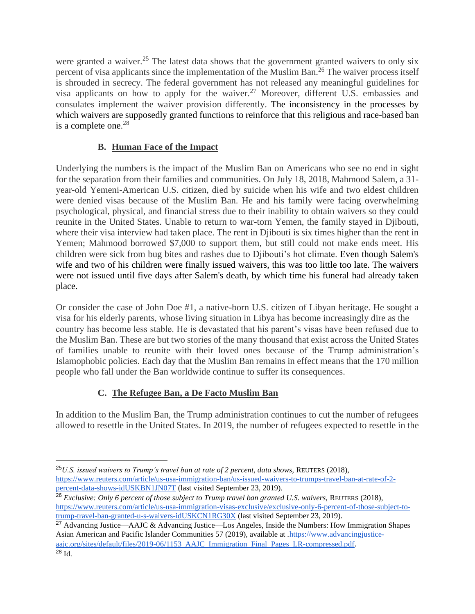were granted a waiver.<sup>25</sup> The latest data shows that the government granted waivers to only six percent of visa applicants since the implementation of the Muslim Ban.<sup>26</sup> The waiver process itself is shrouded in secrecy. The federal government has not released any meaningful guidelines for visa applicants on how to apply for the waiver.<sup>27</sup> Moreover, different U.S. embassies and consulates implement the waiver provision differently. The inconsistency in the processes by which waivers are supposedly granted functions to reinforce that this religious and race-based ban is a complete one.<sup>28</sup>

# **B. Human Face of the Impact**

Underlying the numbers is the impact of the Muslim Ban on Americans who see no end in sight for the separation from their families and communities. On July 18, 2018, Mahmood Salem, a 31 year-old Yemeni-American U.S. citizen, died by suicide when his wife and two eldest children were denied visas because of the Muslim Ban. He and his family were facing overwhelming psychological, physical, and financial stress due to their inability to obtain waivers so they could reunite in the United States. Unable to return to war-torn Yemen, the family stayed in Djibouti, where their visa interview had taken place. The rent in Djibouti is six times higher than the rent in Yemen; Mahmood borrowed \$7,000 to support them, but still could not make ends meet. His children were sick from bug bites and rashes due to Djibouti's hot climate. Even though Salem's wife and two of his children were finally issued waivers, this was too little too late. The waivers were not issued until five days after Salem's death, by which time his funeral had already taken place.

Or consider the case of John Doe #1, a native-born U.S. citizen of Libyan heritage. He sought a visa for his elderly parents, whose living situation in Libya has become increasingly dire as the country has become less stable. He is devastated that his parent's visas have been refused due to the Muslim Ban. These are but two stories of the many thousand that exist across the United States of families unable to reunite with their loved ones because of the Trump administration's Islamophobic policies. Each day that the Muslim Ban remains in effect means that the 170 million people who fall under the Ban worldwide continue to suffer its consequences.

# **C. The Refugee Ban, a De Facto Muslim Ban**

In addition to the Muslim Ban, the Trump administration continues to cut the number of refugees allowed to resettle in the United States. In 2019, the number of refugees expected to resettle in the

<sup>&</sup>lt;sup>25</sup>U.S. issued waivers to Trump's travel ban at rate of 2 percent, data shows, REUTERS (2018), [https://www.reuters.com/article/us-usa-immigration-ban/us-issued-waivers-to-trumps-travel-ban-at-rate-of-2](https://www.reuters.com/article/us-usa-immigration-ban/us-issued-waivers-to-trumps-travel-ban-at-rate-of-2-percent-data-shows-idUSKBN1JN07T) [percent-data-shows-idUSKBN1JN07T](https://www.reuters.com/article/us-usa-immigration-ban/us-issued-waivers-to-trumps-travel-ban-at-rate-of-2-percent-data-shows-idUSKBN1JN07T) [\(](https://www.reuters.com/article/us-usa-immigration-ban/us-issued-waivers-to-trumps-travel-ban-at-rate-of-2-percent-data-shows-idUSKBN1JN07T)last visited September 23, 2019).

<sup>&</sup>lt;sup>26</sup> Exclusive: Only 6 percent of those subject to Trump travel ban granted U.S. waivers, REUTERS (2018), [https://www.reuters.com/article/us-usa-immigration-visas-exclusive/exclusive-only-6-percent-of-those-subject-to](https://www.reuters.com/article/us-usa-immigration-visas-exclusive/exclusive-only-6-percent-of-those-subject-to-trump-travel-ban-granted-u-s-waivers-idUSKCN1RG30X)[trump-travel-ban-granted-u-s-waivers-idUSKCN1RG30X](https://www.reuters.com/article/us-usa-immigration-visas-exclusive/exclusive-only-6-percent-of-those-subject-to-trump-travel-ban-granted-u-s-waivers-idUSKCN1RG30X) [\(](https://www.reuters.com/article/us-usa-immigration-ban/us-issued-waivers-to-trumps-travel-ban-at-rate-of-2-percent-data-shows-idUSKBN1JN07T)last visited September 23, 2019).

<sup>&</sup>lt;sup>27</sup> Advancing Justice—AAJC & Advancing Justice—Los Angeles, Inside the Numbers: How Immigration Shapes Asian American and Pacific Islander Communities 57 (2019), available at [.https://www.advancingjustice](https://www.advancingjustice-aajc.org/sites/default/files/2019-06/1153_AAJC_Immigration_Final_Pages_LR-compressed.pdf)[aajc.org/sites/default/files/2019-06/1153\\_AAJC\\_Immigration\\_Final\\_Pages\\_LR-compressed.pdf](https://www.advancingjustice-aajc.org/sites/default/files/2019-06/1153_AAJC_Immigration_Final_Pages_LR-compressed.pdf).  $^{28}$  Id.